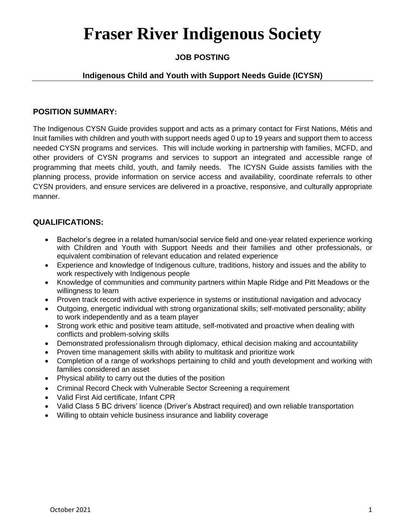# **Fraser River Indigenous Society**

# **JOB POSTING**

## **Indigenous Child and Youth with Support Needs Guide (ICYSN)**

### **POSITION SUMMARY:**

The Indigenous CYSN Guide provides support and acts as a primary contact for First Nations, Métis and Inuit families with children and youth with support needs aged 0 up to 19 years and support them to access needed CYSN programs and services. This will include working in partnership with families, MCFD, and other providers of CYSN programs and services to support an integrated and accessible range of programming that meets child, youth, and family needs. The ICYSN Guide assists families with the planning process, provide information on service access and availability, coordinate referrals to other CYSN providers, and ensure services are delivered in a proactive, responsive, and culturally appropriate manner.

## **QUALIFICATIONS:**

- Bachelor's degree in a related human/social service field and one-year related experience working with Children and Youth with Support Needs and their families and other professionals, or equivalent combination of relevant education and related experience
- Experience and knowledge of Indigenous culture, traditions, history and issues and the ability to work respectively with Indigenous people
- Knowledge of communities and community partners within Maple Ridge and Pitt Meadows or the willingness to learn
- Proven track record with active experience in systems or institutional navigation and advocacy
- Outgoing, energetic individual with strong organizational skills; self-motivated personality; ability to work independently and as a team player
- Strong work ethic and positive team attitude, self-motivated and proactive when dealing with conflicts and problem-solving skills
- Demonstrated professionalism through diplomacy, ethical decision making and accountability
- Proven time management skills with ability to multitask and prioritize work
- Completion of a range of workshops pertaining to child and youth development and working with families considered an asset
- Physical ability to carry out the duties of the position
- Criminal Record Check with Vulnerable Sector Screening a requirement
- Valid First Aid certificate, Infant CPR
- Valid Class 5 BC drivers' licence (Driver's Abstract required) and own reliable transportation
- Willing to obtain vehicle business insurance and liability coverage